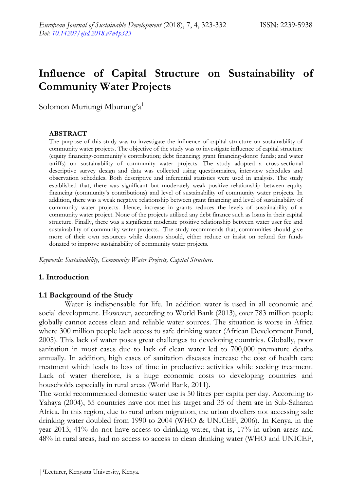# **Influence of Capital Structure on Sustainability of Community Water Projects**

Solomon Muriungi Mburung'a<sup>1</sup>

#### **ABSTRACT**

The purpose of this study was to investigate the influence of capital structure on sustainability of community water projects. The objective of the study was to investigate influence of capital structure (equity financing-community"s contribution; debt financing; grant financing-donor funds; and water tariffs) on sustainability of community water projects. The study adopted a cross-sectional descriptive survey design and data was collected using questionnaires, interview schedules and observation schedules. Both descriptive and inferential statistics were used in analysis. The study established that, there was significant but moderately weak positive relationship between equity financing (community"s contributions) and level of sustainability of community water projects. In addition, there was a weak negative relationship between grant financing and level of sustainability of community water projects. Hence, increase in grants reduces the levels of sustainability of a community water project. None of the projects utilized any debt finance such as loans in their capital structure. Finally, there was a significant moderate positive relationship between water user fee and sustainability of community water projects. The study recommends that, communities should give more of their own resources while donors should, either reduce or insist on refund for funds donated to improve sustainability of community water projects.

*Keywords: Sustainability, Community Water Projects, Capital Structure.*

#### **1. Introduction**

#### **1.1 Background of the Study**

Water is indispensable for life. In addition water is used in all economic and social development. However, according to World Bank (2013), over 783 million people globally cannot access clean and reliable water sources. The situation is worse in Africa where 300 million people lack access to safe drinking water (African Development Fund, 2005). This lack of water poses great challenges to developing countries. Globally, poor sanitation in most cases due to lack of clean water led to 700,000 premature deaths annually. In addition, high cases of sanitation diseases increase the cost of health care treatment which leads to loss of time in productive activities while seeking treatment. Lack of water therefore, is a huge economic costs to developing countries and households especially in rural areas (World Bank, 2011).

The world recommended domestic water use is 50 litres per capita per day. According to Yahaya (2004), 55 countries have not met his target and 35 of them are in Sub-Saharan Africa. In this region, due to rural urban migration, the urban dwellers not accessing safe drinking water doubled from 1990 to 2004 (WHO & UNICEF, 2006). In Kenya, in the year 2013, 41% do not have access to drinking water, that is, 17% in urban areas and 48% in rural areas, had no access to access to clean drinking water (WHO and UNICEF,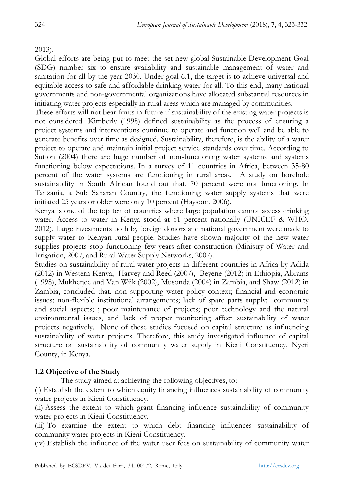# 2013).

Global efforts are being put to meet the set new global Sustainable Development Goal (SDG) number six to ensure availability and sustainable management of water and sanitation for all by the year 2030. Under goal 6.1, the target is to achieve universal and equitable access to safe and affordable drinking water for all. To this end, many national governments and non-governmental organizations have allocated substantial resources in initiating water projects especially in rural areas which are managed by communities.

These efforts will not bear fruits in future if sustainability of the existing water projects is not considered. Kimberly (1998) defined sustainability as the process of ensuring a project systems and interventions continue to operate and function well and be able to generate benefits over time as designed. Sustainability, therefore, is the ability of a water project to operate and maintain initial project service standards over time. According to Sutton (2004) there are huge number of non-functioning water systems and systems functioning below expectations. In a survey of 11 countries in Africa, between 35-80 percent of the water systems are functioning in rural areas. A study on borehole sustainability in South African found out that, 70 percent were not functioning. In Tanzania, a Sub Saharan Country, the functioning water supply systems that were initiated 25 years or older were only 10 percent (Haysom, 2006).

Kenya is one of the top ten of countries where large population cannot access drinking water. Access to water in Kenya stood at 51 percent nationally (UNICEF & WHO, 2012). Large investments both by foreign donors and national government were made to supply water to Kenyan rural people. Studies have shown majority of the new water supplies projects stop functioning few years after construction (Ministry of Water and Irrigation, 2007; and Rural Water Supply Networks, 2007).

Studies on sustainability of rural water projects in different countries in Africa by Adida (2012) in Western Kenya, Harvey and Reed (2007), Beyene (2012) in Ethiopia, Abrams (1998), Mukherjee and Van Wijk (2002), Musonda (2004) in Zambia, and Shaw (2012) in Zambia, concluded that, non supporting water policy context; financial and economic issues; non-flexible institutional arrangements; lack of spare parts supply; community and social aspects; ; poor maintenance of projects; poor technology and the natural environmental issues, and lack of proper monitoring affect sustainability of water projects negatively. None of these studies focused on capital structure as influencing sustainability of water projects. Therefore, this study investigated influence of capital structure on sustainability of community water supply in Kieni Constituency, Nyeri County, in Kenya.

### **1.2 Objective of the Study**

The study aimed at achieving the following objectives, to:-

(i) Establish the extent to which equity financing influences sustainability of community water projects in Kieni Constituency.

(ii) Assess the extent to which grant financing influence sustainability of community water projects in Kieni Constituency.

(iii) To examine the extent to which debt financing influences sustainability of community water projects in Kieni Constituency.

(iv) Establish the influence of the water user fees on sustainability of community water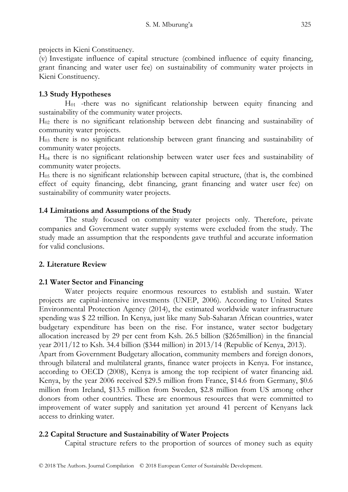projects in Kieni Constituency.

(v) Investigate influence of capital structure (combined influence of equity financing, grant financing and water user fee) on sustainability of community water projects in Kieni Constituency.

# **1.3 Study Hypotheses**

H<sup>01</sup> -there was no significant relationship between equity financing and sustainability of the community water projects.

H<sup>02</sup> there is no significant relationship between debt financing and sustainability of community water projects.

H<sup>03</sup> there is no significant relationship between grant financing and sustainability of community water projects.

H<sup>04</sup> there is no significant relationship between water user fees and sustainability of community water projects.

 $H<sub>05</sub>$  there is no significant relationship between capital structure, (that is, the combined effect of equity financing, debt financing, grant financing and water user fee) on sustainability of community water projects.

## **1.4 Limitations and Assumptions of the Study**

The study focused on community water projects only. Therefore, private companies and Government water supply systems were excluded from the study. The study made an assumption that the respondents gave truthful and accurate information for valid conclusions.

### **2. Literature Review**

### **2.1 Water Sector and Financing**

Water projects require enormous resources to establish and sustain. Water projects are capital-intensive investments (UNEP, 2006). According to United States Environmental Protection Agency (2014), the estimated worldwide water infrastructure spending was \$ 22 trillion. In Kenya, just like many Sub-Saharan African countries, water budgetary expenditure has been on the rise. For instance, water sector budgetary allocation increased by 29 per cent from Ksh. 26.5 billion (\$265million) in the financial year 2011/12 to Ksh. 34.4 billion (\$344 million) in 2013/14 (Republic of Kenya, 2013). Apart from Government Budgetary allocation, community members and foreign donors,

through bilateral and multilateral grants, finance water projects in Kenya. For instance, according to OECD (2008), Kenya is among the top recipient of water financing aid. Kenya, by the year 2006 received \$29.5 million from France, \$14.6 from Germany, \$0.6 million from Ireland, \$13.5 million from Sweden, \$2.8 million from US among other donors from other countries. These are enormous resources that were committed to improvement of water supply and sanitation yet around 41 percent of Kenyans lack access to drinking water.

# **2.2 Capital Structure and Sustainability of Water Projects**

Capital structure refers to the proportion of sources of money such as equity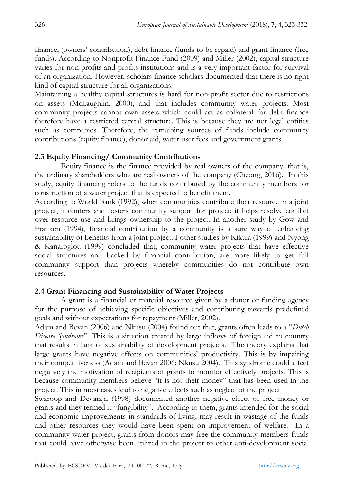finance, (owners" contribution), debt finance (funds to be repaid) and grant finance (free funds). According to Nonprofit Finance Fund (2009) and Miller (2002), capital structure varies for non-profits and profits institutions and is a very important factor for survival of an organization. However, scholars finance scholars documented that there is no right kind of capital structure for all organizations.

Maintaining a healthy capital structures is hard for non-profit sector due to restrictions on assets (McLaughlin, 2000), and that includes community water projects. Most community projects cannot own assets which could act as collateral for debt finance therefore have a restricted capital structure. This is because they are not legal entities such as companies. Therefore, the remaining sources of funds include community contributions (equity finance), donor aid, water user fees and government grants.

## **2.3 Equity Financing/ Community Contributions**

Equity finance is the finance provided by real owners of the company, that is, the ordinary shareholders who are real owners of the company (Cheong, 2016). In this study, equity financing refers to the funds contributed by the community members for construction of a water project that is expected to benefit them.

According to World Bank (1992), when communities contribute their resource in a joint project, it confers and fosters community support for project; it helps resolve conflict over resource use and brings ownership to the project. In another study by Gow and Franken (1994), financial contribution by a community is a sure way of enhancing sustainability of benefits from a joint project. I other studies by Kikula (1999) and Nyong & Kanaroglou (1999) concluded that, community water projects that have effective social structures and backed by financial contribution, are more likely to get full community support than projects whereby communities do not contribute own resources.

# **2.4 Grant Financing and Sustainability of Water Projects**

A grant is a financial or material resource given by a donor or funding agency for the purpose of achieving specific objectives and contributing towards predefined goals and without expectations for repayment (Miller, 2002).

Adam and Bevan (2006) and Nkusu (2004) found out that, grants often leads to a "*Dutch Disease Syndrome*". This is a situation created by large inflows of foreign aid to country that results in lack of sustainability of development projects. The theory explains that large grants have negative effects on communities' productivity. This is by impairing their competitiveness (Adam and Bevan 2006; Nkusu 2004). This syndrome could affect negatively the motivation of recipients of grants to monitor effectively projects. This is because community members believe "it is not their money" that has been used in the project. This in most cases lead to negative effects such as neglect of the project

Swaroop and Devarajn (1998) documented another negative effect of free money or grants and they termed it "fungibility". According to them, grants intended for the social and economic improvements in standards of living, may result in wastage of the funds and other resources they would have been spent on improvement of welfare. In a community water project, grants from donors may free the community members funds that could have otherwise been utilized in the project to other anti-development social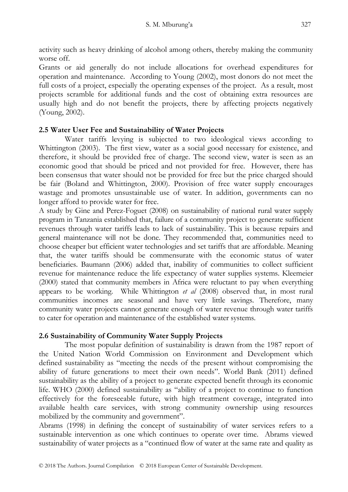activity such as heavy drinking of alcohol among others, thereby making the community worse off.

Grants or aid generally do not include allocations for overhead expenditures for operation and maintenance. According to Young (2002), most donors do not meet the full costs of a project, especially the operating expenses of the project. As a result, most projects scramble for additional funds and the cost of obtaining extra resources are usually high and do not benefit the projects, there by affecting projects negatively (Young, 2002).

# **2.5 Water User Fee and Sustainability of Water Projects**

Water tariffs levying is subjected to two ideological views according to Whittington (2003). The first view, water as a social good necessary for existence, and therefore, it should be provided free of charge. The second view, water is seen as an economic good that should be priced and not provided for free. However, there has been consensus that water should not be provided for free but the price charged should be fair (Boland and Whittington, 2000). Provision of free water supply encourages wastage and promotes unsustainable use of water. In addition, governments can no longer afford to provide water for free.

A study by Gine and Perez-Foguet (2008) on sustainability of national rural water supply program in Tanzania established that, failure of a community project to generate sufficient revenues through water tariffs leads to lack of sustainability. This is because repairs and general maintenance will not be done. They recommended that, communities need to choose cheaper but efficient water technologies and set tariffs that are affordable. Meaning that, the water tariffs should be commensurate with the economic status of water beneficiaries. Baumann (2006) added that, inability of communities to collect sufficient revenue for maintenance reduce the life expectancy of water supplies systems. Kleemeier (2000) stated that community members in Africa were reluctant to pay when everything appears to be working. While Whittington *et al* (2008) observed that, in most rural communities incomes are seasonal and have very little savings. Therefore, many community water projects cannot generate enough of water revenue through water tariffs to cater for operation and maintenance of the established water systems.

# **2.6 Sustainability of Community Water Supply Projects**

The most popular definition of sustainability is drawn from the 1987 report of the United Nation World Commission on Environment and Development which defined sustainability as "meeting the needs of the present without compromising the ability of future generations to meet their own needs". World Bank (2011) defined sustainability as the ability of a project to generate expected benefit through its economic life. WHO (2000) defined sustainability as "ability of a project to continue to function effectively for the foreseeable future, with high treatment coverage, integrated into available health care services, with strong community ownership using resources mobilized by the community and government".

Abrams (1998) in defining the concept of sustainability of water services refers to a sustainable intervention as one which continues to operate over time. Abrams viewed sustainability of water projects as a "continued flow of water at the same rate and quality as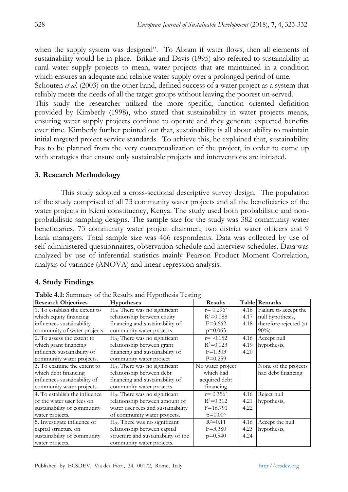when the supply system was designed". To Abram if water flows, then all elements of sustainability would be in place. Brikke and Davis (1995) also referred to sustainability in rural water supply projects to mean, water projects that are maintained in a condition which ensures an adequate and reliable water supply over a prolonged period of time.

Schouten *et al.* (2003) on the other hand, defined success of a water project as a system that reliably meets the needs of all the target groups without leaving the poorest un-served.

This study the researcher utilized the more specific, function oriented definition provided by Kimberly (1998), who stated that sustainability in water projects means, ensuring water supply projects continue to operate and they generate expected benefits over time. Kimberly further pointed out that, sustainability is all about ability to maintain initial targeted project service standards. To achieve this, he explained that, sustainability has to be planned from the very conceptualization of the project, in order to come up with strategies that ensure only sustainable projects and interventions are initiated.

#### **3. Research Methodology**

This study adopted a cross-sectional descriptive survey design. The population of the study comprised of all 73 community water projects and all the beneficiaries of the water projects in Kieni constituency, Kenya. The study used both probabilistic and nonprobabilistic sampling designs. The sample size for the study was 382 community water beneficiaries, 73 community water project chairmen, two district water officers and 9 bank managers. Total sample size was 466 respondents. Data was collected by use of self-administered questionnaires, observation schedule and interview schedules. Data was analyzed by use of inferential statistics mainly Pearson Product Moment Correlation, analysis of variance (ANOVA) and linear regression analysis.

### **4. Study Findings**

| <b>Research Objectives</b>    | <b>Hypotheses</b>                   | <b>Results</b>   |      | <b>Table Remarks</b>   |
|-------------------------------|-------------------------------------|------------------|------|------------------------|
| 1. To establish the extent to | $H_{01}$ There was no significant   | $r = 0.296^*$    | 4.16 | Failure to accept the  |
| which equity financing        | relationship between equity         | $R^2 = 0.088$    | 4.17 | null hypothesis,       |
| influences sustainability     | financing and sustainability of     | $F = 3.662$      | 4.18 | therefore rejected (at |
| community of water projects.  | community water projects            | $p=0.063$        |      | $90\%$ ).              |
| 2. To assess the extent to    | $H_{02}$ There was no significant   | $r = -0.152$     | 4.16 | Accept null            |
| which grant financing         | relationship between grant          | $R^2 = 0.023$    | 4.19 | hypothesis,            |
| influence sustainability of   | financing and sustainability of     | $F = 1.303$      | 4.20 |                        |
| community water projects.     | community water project             | $P=0.259$        |      |                        |
| 3. To examine the extent to   | $H_{03}$ There was no significant   | No water project |      | None of the projects   |
| which debt financing          | relationship between debt           | which had        |      | had debt financing     |
| influences sustainability of  | financing and sustainability of     | acquired debt    |      |                        |
| community water projects.     | community water projects            | financing        |      |                        |
| 4. To establish the influence | $H04$ There was no significant      | $r = 0.356^*$    | 4.16 | Reject null            |
| of the water user fees on     | relationship between amount of      | $R^2 = 0.312$    | 4.21 | hypothesis,            |
| sustainability of community   | water user fees and sustainability  | $F = 16.791$     | 4.22 |                        |
| water projects.               | of community water projects.        | $p = 0.00b$      |      |                        |
| 5. Investigate influence of   | $H_{05}$ There was no significant   | $R^2 = 0.11$     | 4.16 | Accept the null        |
| capital structure on          | relationship between capital        | $F = 3.380$      | 4.23 | hypothesis,            |
| sustainability of community   | structure and sustainability of the | $p=0.540$        | 4.24 |                        |
| water projects.               | community water projects.           |                  |      |                        |

**Table 4.1:** Summary of the Results and Hypothesis Testing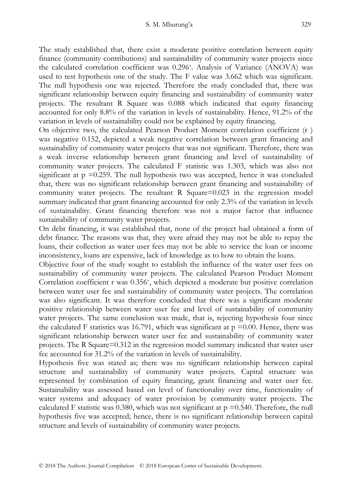The study established that, there exist a moderate positive correlation between equity finance (community contributions) and sustainability of community water projects since the calculated correlation coefficient was 0.296\* . Analysis of Variance (ANOVA) was used to test hypothesis one of the study. The F value was 3.662 which was significant. The null hypothesis one was rejected. Therefore the study concluded that, there was significant relationship between equity financing and sustainability of community water projects. The resultant R Square was 0.088 which indicated that equity financing accounted for only 8.8% of the variation in levels of sustainability. Hence, 91.2% of the variation in levels of sustainability could not be explained by equity financing.

On objective two, the calculated Pearson Product Moment correlation coefficient (r ) was negative 0.152, depicted a weak negative correlation between grant financing and sustainability of community water projects that was not significant. Therefore, there was a weak inverse relationship between grant financing and level of sustainability of community water projects. The calculated F statistic was 1.303, which was also not significant at  $p = 0.259$ . The null hypothesis two was accepted, hence it was concluded that, there was no significant relationship between grant financing and sustainability of community water projects. The resultant R Square=0.023 in the regression model summary indicated that grant financing accounted for only 2.3% of the variation in levels of sustainability. Grant financing therefore was not a major factor that influence sustainability of community water projects.

On debt financing, it was established that, none of the project had obtained a form of debt finance. The reasons was that, they were afraid they may not be able to repay the loans, their collection as water user fees may not be able to service the loan or income inconsistency, loans are expensive, lack of knowledge as to how to obtain the loans.

Objective four of the study sought to establish the influence of the water user fees on sustainability of community water projects. The calculated Pearson Product Moment Correlation coefficient r was 0.356\* , which depicted a moderate but positive correlation between water user fee and sustainability of community water projects. The correlation was also significant. It was therefore concluded that there was a significant moderate positive relationship between water user fee and level of sustainability of community water projects. The same conclusion was made, that is, rejecting hypothesis four since the calculated F statistics was 16.791, which was significant at  $p = 0.00$ . Hence, there was significant relationship between water user fee and sustainability of community water projects. The R Square=0.312 in the regression model summary indicated that water user fee accounted for 31.2% of the variation in levels of sustainability.

Hypothesis five was stated as; there was no significant relationship between capital structure and sustainability of community water projects. Capital structure was represented by combination of equity financing, grant financing and water user fee. Sustainability was assessed based on level of functionality over time, functionality of water systems and adequacy of water provision by community water projects. The calculated F statistic was 0.380, which was not significant at  $p = 0.540$ . Therefore, the null hypothesis five was accepted; hence, there is no significant relationship between capital structure and levels of sustainability of community water projects.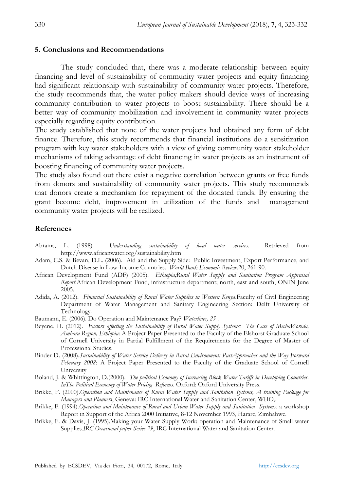#### **5. Conclusions and Recommendations**

The study concluded that, there was a moderate relationship between equity financing and level of sustainability of community water projects and equity financing had significant relationship with sustainability of community water projects. Therefore, the study recommends that, the water policy makers should device ways of increasing community contribution to water projects to boost sustainability. There should be a better way of community mobilization and involvement in community water projects especially regarding equity contribution.

The study established that none of the water projects had obtained any form of debt finance. Therefore, this study recommends that financial institutions do a sensitization program with key water stakeholders with a view of giving community water stakeholder mechanisms of taking advantage of debt financing in water projects as an instrument of boosting financing of community water projects.

The study also found out there exist a negative correlation between grants or free funds from donors and sustainability of community water projects. This study recommends that donors create a mechanism for repayment of the donated funds. By ensuring the grant become debt, improvement in utilization of the funds and management community water projects will be realized.

#### **References**

- Abrams, L. (1998). *Understanding sustainability of local water services*. Retrieved from http://www.africanwater.org/sustainability.htm
- Adam, C.S. & Bevan, D.L. (2006). Aid and the Supply Side: Public Investment, Export Performance, and Dutch Disease in Low-Income Countries. *World Bank Economic Review*.20, 261-90.
- African Development Fund (ADF) (2005). *Ethiopia;Rural Water Supply and Sanitation Program Appraisal Report*.African Development Fund, infrastructure department; north, east and south, ONIN June 2005.
- Adida, A. (2012). *Financial Sustainability of Rural Water Supplies in Western Kenya*.Faculty of Civil Engineering Department of Water Management and Sanitary Engineering Section: Delft University of Technology.
- Baumann, E. (2006). Do Operation and Maintenance Pay? *Waterlines, 25* .
- Beyene, H. (2012). *Factors affecting the Sustainability of Rural Water Supply Systems: The Case of MechaWoreda, Amhara Region, Ethiopia*: A Project Paper Presented to the Faculty of the Elshorst Graduate School of Cornell University in Partial Fulfillment of the Requirements for the Degree of Master of Professional Studies.
- Binder D. (2008).*Sustainability of Water Service Delivery in Rural Environment: PastApproaches and the Way Forward February 2008*: A Project Paper Presented to the Faculty of the Graduate School of Cornell University
- Boland, J. & Whittington, D.(2000). *The political Economy of Increasing Block Water Tariffs in Developing Countries. InThe Political Economy of Water Pricing Reforms*. Oxford: Oxford University Press.
- Brikke, F. (2000).*Operation and Maintenance of Rural Water Supply and Sanitation Systems, A training Package for Managers and Planners*, Geneva: IRC International Water and Sanitation Center, WHO,.
- Brikke, F. (1994).*Operation and Maintenance of Rural and Urban Water Supply and Sanitation Systems:* a workshop Report in Support of the Africa 2000 Initiative, 8-12 November 1993, Harare, Zimbabwe.
- Brikke, F. & Davis, J. (1995).Making your Water Supply Work: operation and Maintenance of Small water Supplies.*IRC Occasional paper Series 29*, IRC International Water and Sanitation Center.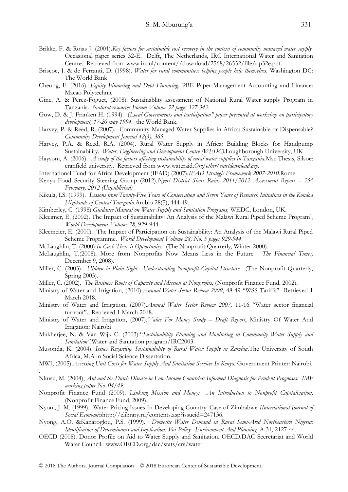- Brikke, F. & Rojas J. (2001).*Key factors for sustainable cost recovery in the context of community managed water supply.*  Occasional paper series 32-E. Delft, The Netherlands, IRC International Water and Sanitation Centre. Retrieved from www irc.nl/content//download/2568/26552/file/op32e.pdf.
- Briscoe, J. & de Ferranti, D. (1998). *Water for rural communities: helping people help themselves.* Washington DC: The World Bank
- Cheong, F. (2016). *Equity Financing and Debt Financing*. PBE Paper-Management Accounting and Finance: Macao Polytechnic
- Gine, A. & Perez-Foguet, (2008). Sustainablity assessment of National Rural Water supply Program in Tanzania. *Natural resources Forum Volume 32 pages 327-342.*
- Gow, D. & J. Franken H. (1994). (*Local Governments and participation" paper presented at workshop on participatory development, 17-20 may 1994.* the World Bank.
- Harvey, P. & Reed, R. (2007). Community-Managed Water Supplies in Africa: Sustainable or Dispensable? *Community Development Journal 42(3), 365.*
- Harvey, P.A. & Reed, R.A. (2004). Rural Water Supply in Africa: Building Blocks for Handpump Sustainability. *Water, Engineering and Development Centre (WEDC).*Loughborough University, UK
- Haysom, A. (2006). *A study of the factors affecting sustainability of rural water supplies in Tanzania,*Msc Thesis, Silsoe: cranfield university. Retrieved from www.wateraid.*Org/other/startdownload.asp.*
- International Fund for Africa Development (IFAD) (2007).*IFAD Strategic Framework 2007-2010.*Rome.
- Kenya Food Security Steering Group (2012).*Nyeri District Short Rains 2011/2012 Assessment Report 25<sup>th</sup> February, 2012 (Unpublished)*
- Kikula, I.S. (1999). *Lessons from Twenty-Five Years of Conservation and Seven Years of Research Initiatives in the Kondoa Highlands of Central Tanzania*.Ambio 28(5), 444-49.
- Kimberley, C. (1998).*Guidance Manual on Water Supply and Sanitation Programs,* WEDC, London, UK.
- Kleeimer, E. (2002). The Impact of Sustainability: An Analysis of the Malawi Rural Piped Scheme Program", *World Development Volume 28*, 929-944.
- Kleemeier, E. (2000). The Impact of Participation on Sustainability: An Analysis of the Malawi Rural Piped Scheme Programme. *World Development Volume 28, No. 5 pages 929-944.*
- McLaughlin, T. (2000).*In Cash There is Opportunity.* (The Nonprofit Quarterly, Winter 2000).
- McLaughlin, T.(2008). More from Nonprofits Now Means Less in the Future. *The Financial Times,* December 9, 2008).
- Miller, C. (2003). *Hidden in Plain Sight: Understanding Nonprofit Capital Structure.* (The Nonprofit Quarterly, Spring 2003).
- Miller, C. (2002). *The Business Roots of Capacity and Mission at Nonprofits,* (Nonprofit Finance Fund, 2002).
- Ministry of Water and Irrigation, (2010).*Annual Water Sector Review 2009*, 48-49 "WSS Tariffs" Retrieved 1 March 2018.
- Ministry of Water and Irrigation, (2007).*Annual Water Sector Review 2007,* 11-16 "Water sector financial turnout". Retrieved 1 March 2018.
- Ministry of Water and Irrigation, (2007).*Value For Money Study – Draft Report*, Ministry Of Water And Irrigation: Nairobi
- Mukherjee, N. & Van Wijk C. (2003)."*Sustainability Planning and Monitoring in Community Water Supply and Sanitation"*.Water and Sanitation program/IRC2003.
- Musonda, K. (2004). *Issues Regarding Sustainability of Rural Water Supply in Zambia*.The University of South Africa, M.A in Social Science Dissertation.
- MWI, (2005).*Assessing Unit Costs for Water Supply And Sanitation Services In Kenya.* Government Printer: Nairobi.
- Nkusu, M. (2004), *Aid and the Dutch Disease in Low-Income Countries: Informed Diagnosis for Prudent Prognoses. IMF working paper No. 04/49.*
- Nonprofit Finance Fund (2009). *Linking Mission and Money: An Introduction to Nonprofit Capitalization,*  (Nonprofit Finance Fund, 2009).
- Nyoni, J. M. (1999). Water Pricing Issues In Developing Country: Case of Zimbabwe *IInternational Journal of Social Economics*http://elibrary.ru/contents.asp?issueid=247136*.*
- Nyong, A.O. &Kanaroglou, P.S. (1999). *Domestic Water Demand in Rural Semi-Arid Northeastern Nigeria: Identification of Determinants and Implications For Policy. Environment And Planning.* A 31, 2127-44.
- OECD (2008). Donor Profile on Aid to Water Supply and Sanitation. OECD.DAC Secretariat and World Water Council. www.OECD.org/dac/stats/crs/water

.